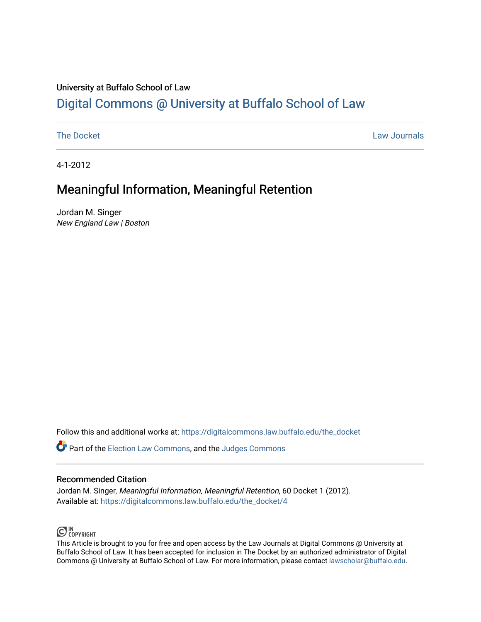# University at Buffalo School of Law [Digital Commons @ University at Buffalo School of Law](https://digitalcommons.law.buffalo.edu/)

[The Docket](https://digitalcommons.law.buffalo.edu/the_docket) Law Journals

4-1-2012

# Meaningful Information, Meaningful Retention

Jordan M. Singer New England Law | Boston

Follow this and additional works at: [https://digitalcommons.law.buffalo.edu/the\\_docket](https://digitalcommons.law.buffalo.edu/the_docket?utm_source=digitalcommons.law.buffalo.edu%2Fthe_docket%2F4&utm_medium=PDF&utm_campaign=PDFCoverPages) 

Part of the [Election Law Commons](http://network.bepress.com/hgg/discipline/1121?utm_source=digitalcommons.law.buffalo.edu%2Fthe_docket%2F4&utm_medium=PDF&utm_campaign=PDFCoverPages), and the [Judges Commons](http://network.bepress.com/hgg/discipline/849?utm_source=digitalcommons.law.buffalo.edu%2Fthe_docket%2F4&utm_medium=PDF&utm_campaign=PDFCoverPages) 

#### Recommended Citation

Jordan M. Singer, Meaningful Information, Meaningful Retention, 60 Docket 1 (2012). Available at: [https://digitalcommons.law.buffalo.edu/the\\_docket/4](https://digitalcommons.law.buffalo.edu/the_docket/4?utm_source=digitalcommons.law.buffalo.edu%2Fthe_docket%2F4&utm_medium=PDF&utm_campaign=PDFCoverPages) 

### $\bigodot$  IN COPYRIGHT

This Article is brought to you for free and open access by the Law Journals at Digital Commons @ University at Buffalo School of Law. It has been accepted for inclusion in The Docket by an authorized administrator of Digital Commons @ University at Buffalo School of Law. For more information, please contact [lawscholar@buffalo.edu](mailto:lawscholar@buffalo.edu).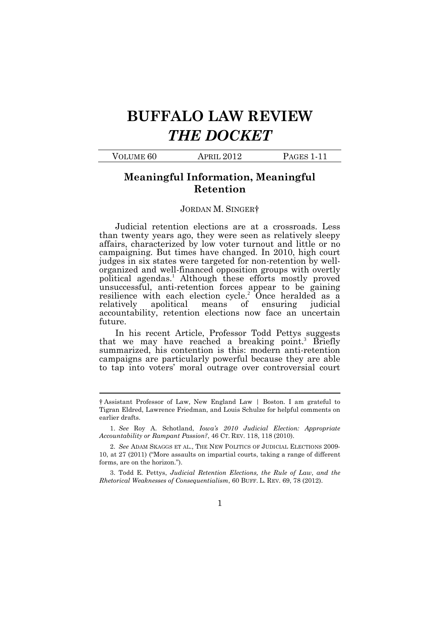# BUFFALO LAW REVIEW THE DOCKET

| VOLUME 60 | APRIL 2012 | PAGES 1-11 |
|-----------|------------|------------|
|           |            |            |

#### Meaningful Information, Meaningful Retention

#### JORDAN M. SINGER†

 Judicial retention elections are at a crossroads. Less than twenty years ago, they were seen as relatively sleepy judges in six states were targeted for non-retention by well- unsuccessful, anti-retention forces appear to be gaining accountability, retention elections now face an uncertain affairs, characterized by low voter turnout and little or no campaigning. But times have changed. In 2010, high court organized and well-financed opposition groups with overtly political agendas.<sup>1</sup> Although these efforts mostly proved resilience with each election cycle.<sup>2</sup> Once heralded as  $\alpha$ relatively apolitical means of ensuring judicial future.

 In his recent Article, Professor Todd Pettys suggests that we may have reached a breaking point.<sup>3</sup> Briefly to tap into voters' moral outrage over controversial court summarized, his contention is this: modern anti-retention campaigns are particularly powerful because they are able

 $\ddot{\phantom{a}}$ 

 Rhetorical Weaknesses of Consequentialism, 60 BUFF. L. REV. 69, 78 (2012). 3. Todd E. Pettys, Judicial Retention Elections, the Rule of Law, and the

 † Assistant Professor of Law, New England Law | Boston. I am grateful to Tigran Eldred, Lawrence Friedman, and Louis Schulze for helpful comments on earlier drafts.

 Accountability or Rampant Passion?, 46 CT. REV. 118, 118 (2010). 1. See Roy A. Schotland, Iowa's 2010 Judicial Election: Appropriate

 2. See ADAM SKAGGS ET AL., THE NEW POLITICS OF JUDICIAL ELECTIONS 2009- 10, at 27 (2011) ("More assaults on impartial courts, taking a range of different forms, are on the horizon.").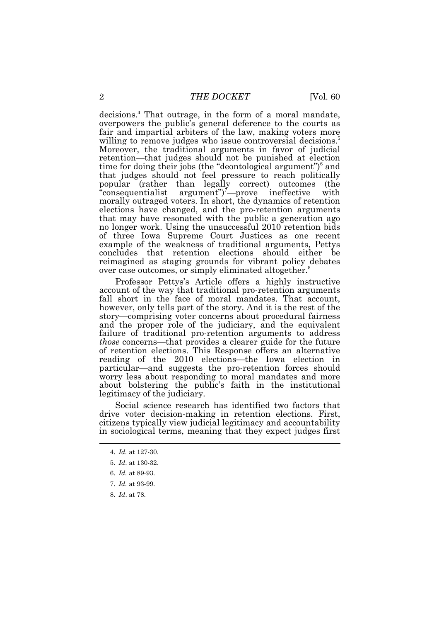decisions.<sup>4</sup> That outrage, in the form of a moral mandate, overpowers the public's general deference to the courts as willing to remove judges who issue controversial decisions.<sup>5</sup> time for doing their jobs (the "deontological argument") $\delta$  and ineffective elections have changed, and the pro-retention arguments that may have resonated with the public a generation ago over case outcomes, or simply eliminated altogether.<sup>8</sup> fair and impartial arbiters of the law, making voters more Moreover, the traditional arguments in favor of judicial retention—that judges should not be punished at election that judges should not feel pressure to reach politically popular (rather than legally correct) outcomes (the "consequentialist argument")<sup>7</sup>—prove ineffective with morally outraged voters. In short, the dynamics of retention no longer work. Using the unsuccessful 2010 retention bids of three Iowa Supreme Court Justices as one recent example of the weakness of traditional arguments, Pettys concludes that retention elections should either be reimagined as staging grounds for vibrant policy debates

 Professor Pettys's Article offers a highly instructive account of the way that traditional pro-retention arguments story—comprising voter concerns about procedural fairness those concerns—that provides a clearer guide for the future particular—and suggests the pro-retention forces should legitimacy of the judiciary. fall short in the face of moral mandates. That account, however, only tells part of the story. And it is the rest of the and the proper role of the judiciary, and the equivalent failure of traditional pro-retention arguments to address of retention elections. This Response offers an alternative reading of the 2010 elections—the Iowa election in worry less about responding to moral mandates and more about bolstering the public's faith in the institutional

 Social science research has identified two factors that citizens typically view judicial legitimacy and accountability drive voter decision-making in retention elections. First, in sociological terms, meaning that they expect judges first

8. Id. at 78.

<sup>4.</sup> Id. at 127-30.

 5. Id. at 130-32.

<sup>6.</sup> Id. at 89-93.

<sup>7.</sup> Id. at 93-99.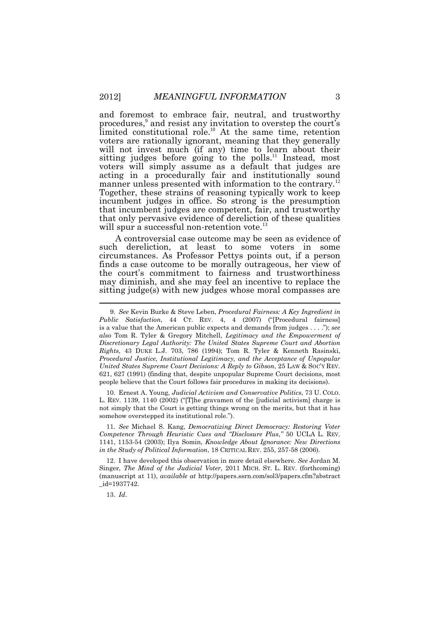and foremost to embrace fair, neutral, and trustworthy voters are rationally ignorant, meaning that they generally voters will simply assume as a default that judges are acting in a procedurally fair and institutionally sound Together, these strains of reasoning typically work to keep incumbent judges in office. So strong is the presumption that only pervasive evidence of dereliction of these qualities will spur a successful non-retention vote.<sup>13</sup> procedures,<sup>9</sup> and resist any invitation to overstep the court's limited constitutional role.<sup>10</sup> At the same time, retention will not invest much (if any) time to learn about their sitting judges before going to the [polls.](https://polls.11)<sup>11</sup> Instead, most manner unless presented with information to the [contrary.](https://contrary.12)<sup>12</sup> that incumbent judges are competent, fair, and trustworthy

 A controversial case outcome may be seen as evidence of such dereliction, at least to some voters in some finds a case outcome to be morally outrageous, her view of sitting judge(s) with new judges whose moral compasses are  $\overline{a}$ circumstances. As Professor Pettys points out, if a person the court's commitment to fairness and trustworthiness may diminish, and she may feel an incentive to replace the

 10. Ernest A. Young, Judicial Activism and Conservative Politics, 73 U. COLO. L. REV. 1139, 1140 (2002) ("[T]he gravamen of the [judicial activism] charge is not simply that the Court is getting things wrong on the merits, but that it has somehow overstepped its institutional role.").

 11. See Michael S. Kang, Democratizing Direct Democracy: Restoring Voter Competence Through Heuristic Cues and "Disclosure Plus," 50 UCLA L. REV. 1141, 1153-54 (2003); Ilya Somin, Knowledge About Ignorance: New Directions in the Study of Political Information, 18 CRITICAL REV. 255, 257-58 (2006).

Singer, The Mind of the Judicial Voter, 2011 MICH. ST. L. REV. (forthcoming) (manuscript at 11), available at <http://papers.ssrn.com/sol3/papers.cfm?abstract> 12. I have developed this observation in more detail elsewhere. See Jordan M. \_id=1937742.

13. Id.

 9. See Kevin Burke & Steve Leben, Procedural Fairness: A Key Ingredient in Public Satisfaction, 44 CT. REV. 4, 4 (2007) ("[Procedural fairness] is a value that the American public expects and demands from judges . . . ."); see also Tom R. Tyler & Gregory Mitchell, Legitimacy and the Empowerment of Discretionary Legal Authority: The United States Supreme Court and Abortion Rights, 43 DUKE L.J. 703, 786 (1994); Tom R. Tyler & Kenneth Rasinski, Procedural Justice, Institutional Legitimacy, and the Acceptance of Unpopular United States Supreme Court Decisions: A Reply to Gibson, 25 LAW & SOC'Y REV. 621, 627 (1991) (finding that, despite unpopular Supreme Court decisions, most people believe that the Court follows fair procedures in making its decisions).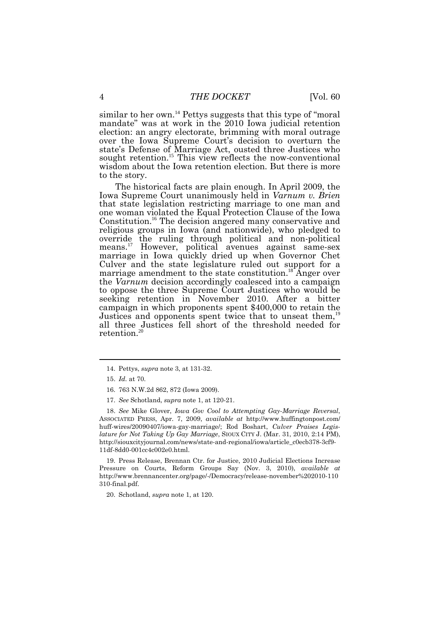similar to her own.<sup>14</sup> Pettys suggests that this type of "moral" election: an angry electorate, brimming with moral outrage over the Iowa Supreme Court's decision to overturn the state's Defense of Marriage Act, ousted three Justices who wisdom about the Iowa retention election. But there is more mandate" was at work in the 2010 Iowa judicial retention sought [retention.](https://retention.15)<sup>15</sup> This view reflects the now-conventional to the story.

 The historical facts are plain enough. In April 2009, the one woman violated the Equal Protection Clause of the Iowa override the ruling through political and non-political means.<sup>17</sup> However, political avenues against same-sex marriage in Iowa quickly dried up when Governor Chet Culver and the state legislature ruled out support for a to oppose the three Supreme Court Justices who would be Justices and opponents spent twice that to unseat them,<sup>19</sup> Iowa Supreme Court unanimously held in Varnum v. Brien that state legislation restricting marriage to one man and [Constitution.](https://Constitution.16)<sup>16</sup> The decision angered many conservative and religious groups in Iowa (and nationwide), who pledged to marriage amendment to the state [constitution.](https://constitution.18)<sup>18</sup> Anger over the Varnum decision accordingly coalesced into a campaign seeking retention in November 2010. After a bitter campaign in which proponents spent \$400,000 to retain the all three Justices fell short of the threshold needed for [retention.](https://retention.20)

 $\overline{a}$ 

 18. See Mike Glover, Iowa Gov Cool to Attempting Gay-Marriage Reversal, ASSOCIATED PRESS, Apr. 7, 2009, available at [http://www.huffingtonpost.com/](http://www.huffingtonpost.com) huff-wires/20090407/iowa-gay-marriage/; Rod Boshart, Culver Praises Legis- lature for Not Taking Up Gay Marriage, SIOUX CITY J. (Mar. 31, 2010, 2:14 PM), [http://siouxcityjournal.com/news/state-and-regional/iowa/article\\_c0ecb378-3cf9-](http://siouxcityjournal.com/news/state-and-regional/iowa/article_c0ecb378-3cf9) 11df-8dd0-001cc4c002e0.html.

Pressure on Courts, Reform Groups Say (Nov. 3, 2010), available at 19. Press Release, Brennan Ctr. for Justice, 2010 Judicial Elections Increase <http://www.brennancenter.org/page/-/Democracy/release-november%202010-110> 310-final.pdf.

20. Schotland, supra note 1, at 120.

<sup>14.</sup> Pettys, supra note 3, at 131-32.

<sup>15.</sup> Id. at 70.

<sup>16. 763</sup> N.W.2d 862, 872 (Iowa 2009).

 17. See Schotland, supra note 1, at 120-21.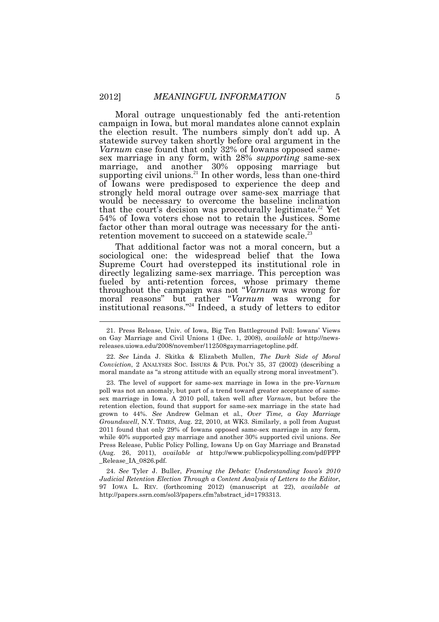Moral outrage unquestionably fed the anti-retention Varnum case found that only 32% of Iowans opposed same- marriage, and another 30% opposing marriage but strongly held moral outrage over same-sex marriage that that the court's decision was procedurally [legitimate.](https://legitimate.22)<sup>22</sup> Yet 54% of Iowa voters chose not to retain the Justices. Some factor other than moral outrage was necessary for the anticampaign in Iowa, but moral mandates alone cannot explain the election result. The numbers simply don't add up. A statewide survey taken shortly before oral argument in the sex marriage in any form, with 28% supporting same-sex supporting civil [unions.](https://unions.21)<sup>21</sup> In other words, less than one-third of Iowans were predisposed to experience the deep and would be necessary to overcome the baseline inclination retention movement to succeed on a statewide [scale.](https://scale.23)<sup>23</sup>

 That additional factor was not a moral concern, but a Supreme Court had overstepped its institutional role in sociological one: the widespread belief that the Iowa directly legalizing same-sex marriage. This perception was fueled by anti-retention forces, whose primary theme throughout the campaign was not "Varnum was wrong for moral reasons" but rather "Varnum was wrong for institutional reasons."<sup>24</sup> Indeed, a study of letters to editor

 $\overline{a}$ 

 22. See Linda J. Skitka & Elizabeth Mullen, The Dark Side of Moral Conviction, 2 ANALYSES SOC. ISSUES & PUB. POL'Y 35, 37 (2002) (describing a moral mandate as "a strong attitude with an equally strong moral investment").

 poll was not an anomaly, but part of a trend toward greater acceptance of same- sex marriage in Iowa. A 2010 poll, taken well after Varnum, but before the retention election, found that support for same-sex marriage in the state had grown to 44%. See Andrew Gelman et al., Over Time, a Gay Marriage Groundswell, N.Y. TIMES, Aug. 22, 2010, at WK3. Similarly, a poll from August 2011 found that only 29% of Iowans opposed same-sex marriage in any form, while 40% supported gay marriage and another 30% supported civil unions. See Press Release, Public Policy Polling, Iowans Up on Gay Marriage and Branstad (Aug. 26, 2011), available at <http://www.publicpolicypolling.com/pdf/PPP> 23. The level of support for same-sex marriage in Iowa in the pre-Varnum \_Release\_IA\_0826.pdf.

 Judicial Retention Election Through a Content Analysis of Letters to the Editor, 97 IOWA L. REV. (forthcoming 2012) (manuscript at 22), available at 24. See Tyler J. Buller, Framing the Debate: Understanding Iowa's 2010 [http://papers.ssrn.com/sol3/papers.cfm?abstract\\_id=1793313](http://papers.ssrn.com/sol3/papers.cfm?abstract_id=1793313).

 21. Press Release, Univ. of Iowa, Big Ten Battleground Poll: Iowans' Views on Gay Marriage and Civil Unions 1 (Dec. 1, 2008), *available at* <http://news>[releases.uiowa.edu/2008/november/112508gaymarriagetopline.pdf.](https://releases.uiowa.edu/2008/november/112508gaymarriagetopline.pdf)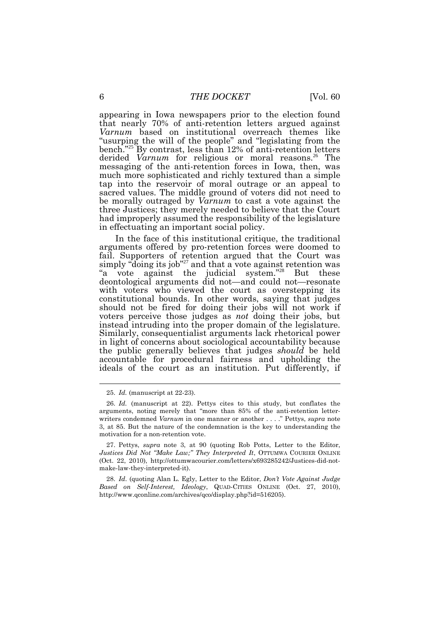appearing in Iowa newspapers prior to the election found "usurping the will of the people" and "legislating from the messaging of the anti-retention forces in Iowa, then, was sacred values. The middle ground of voters did not need to had improperly assumed the responsibility of the legislature that nearly 70% of anti-retention letters argued against Varnum based on institutional overreach themes like bench."<sup>25</sup>By contrast, less than 12% of anti-retention letters derided Varnum for religious or moral reasons.<sup>26</sup> The much more sophisticated and richly textured than a simple tap into the reservoir of moral outrage or an appeal to be morally outraged by *Varnum* to cast a vote against the three Justices; they merely needed to believe that the Court in effectuating an important social policy.

 In the face of this institutional critique, the traditional simply "doing its job"<sup>27</sup> and that a vote against retention was with voters who viewed the court as overstepping its voters perceive those judges as not doing their jobs, but instead intruding into the proper domain of the legislature. in light of concerns about sociological accountability because ideals of the court as an institution. Put differently, if arguments offered by pro-retention forces were doomed to fail. Supporters of retention argued that the Court was "a vote against the judicial system."<sup>28</sup> But these deontological arguments did not—and could not—resonate constitutional bounds. In other words, saying that judges should not be fired for doing their jobs will not work if Similarly, consequentialist arguments lack rhetorical power the public generally believes that judges *should* be held accountable for procedural fairness and upholding the

l

<sup>25.</sup> Id. (manuscript at 22-23).

 26. Id. (manuscript at 22). Pettys cites to this study, but conflates the arguments, noting merely that "more than 85% of the anti-retention letterwriters condemned Varnum in one manner or another ...." Pettys, *supra* note 3, at 85. But the nature of the condemnation is the key to understanding the motivation for a non-retention vote.

 Justices Did Not "Make Law;" They Interpreted It, OTTUMWA COURIER ONLINE (Oct. 22, 2010), <http://ottumwacourier.com/letters/x693285242/Justices-did-not>-27. Pettys, supra note 3, at 90 (quoting Rob Potts, Letter to the Editor, make-law-they-interpreted-it).

<sup>28.</sup> Id. (quoting Alan L. Egly, Letter to the Editor, Don't Vote Against Judge Based on Self-Interest, Ideology, QUAD-CITIES ONLINE (Oct. 27, 2010), [http://www.qconline.com/archives/qco/display.php?id=516205\)](http://www.qconline.com/archives/qco/display.php?id=516205).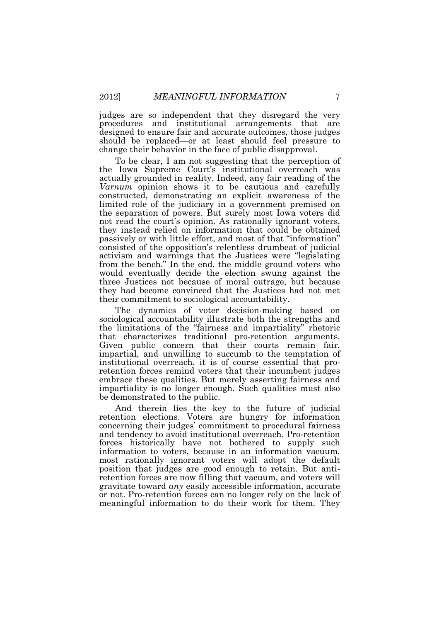judges are so independent that they disregard the very should be replaced—or at least should feel pressure to procedures and institutional arrangements that are designed to ensure fair and accurate outcomes, those judges change their behavior in the face of public disapproval.

 To be clear, I am not suggesting that the perception of Varnum opinion shows it to be cautious and carefully the separation of powers. But surely most Iowa voters did they instead relied on information that could be obtained passively or with little effort, and most of that "information" consisted of the opposition's relentless drumbeat of judicial from the bench." In the end, the middle ground voters who they had become convinced that the Justices had not met the Iowa Supreme Court's institutional overreach was actually grounded in reality. Indeed, any fair reading of the constructed, demonstrating an explicit awareness of the limited role of the judiciary in a government premised on not read the court's opinion. As rationally ignorant voters, activism and warnings that the Justices were "legislating would eventually decide the election swung against the three Justices not because of moral outrage, but because their commitment to sociological accountability.

 The dynamics of voter decision-making based on sociological accountability illustrate both the strengths and Given public concern that their courts remain fair, retention forces remind voters that their incumbent judges be demonstrated to the public. the limitations of the "fairness and impartiality" rhetoric that characterizes traditional pro-retention arguments. impartial, and unwilling to succumb to the temptation of institutional overreach, it is of course essential that proembrace these qualities. But merely asserting fairness and impartiality is no longer enough. Such qualities must also

 And therein lies the key to the future of judicial retention elections. Voters are hungry for information concerning their judges' commitment to procedural fairness gravitate toward any easily accessible information, accurate meaningful information to do their work for them. They and tendency to avoid institutional overreach. Pro-retention forces historically have not bothered to supply such information to voters, because in an information vacuum, most rationally ignorant voters will adopt the default position that judges are good enough to retain. But antiretention forces are now filling that vacuum, and voters will or not. Pro-retention forces can no longer rely on the lack of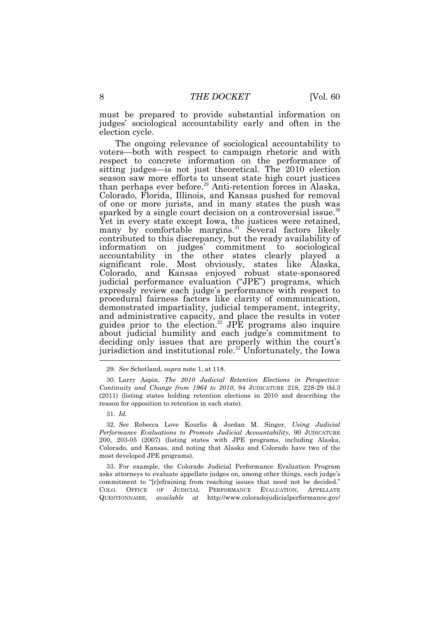must be prepared to provide substantial information on judges' sociological accountability early and often in the election cycle.

 The ongoing relevance of sociological accountability to respect to concrete information on the performance of sparked by a single court decision on a controversial [issue.](https://issue.30)<sup>30</sup> contributed to this discrepancy, but the ready availability of expressly review each judge's performance with respect to and administrative capacity, and place the results in voter about judicial humility and each judge's commitment to deciding only issues that are properly within the court's voters—both with respect to campaign rhetoric and with sitting judges—is not just theoretical. The 2010 election season saw more efforts to unseat state high court justices than perhaps ever [before.](https://before.29)<sup>29</sup> Anti-retention forces in Alaska, Colorado, Florida, Illinois, and Kansas pushed for removal of one or more jurists, and in many states the push was Yet in every state except Iowa, the justices were retained, many by comfortable [margins.](https://margins.31)<sup>31</sup> Several factors likely information on judges' commitment to sociological accountability in the other states clearly played a significant role. Most obviously, states like Alaska, Colorado, and Kansas enjoyed robust state-sponsored judicial performance evaluation ("JPE") programs, which procedural fairness factors like clarity of communication, demonstrated impartiality, judicial temperament, integrity, guides prior to the [election.](https://election.32)<sup>32</sup> JPE programs also inquire jurisdiction and institutional role.<sup>33</sup> Unfortunately, the Iowa

 asks attorneys to evaluate appellate judges on, among other things, each judge's commitment to "[r]efraining from reaching issues that need not be decided." COLO. OFFICE OF JUDICIAL PERFORMANCE EVALUATION, APPELLATE 33. For example, the Colorado Judicial Performance Evaluation Program QUESTIONNAIRE, available at [http://www.coloradojudicialperformance.gov/](http://www.coloradojudicialperformance.gov)

 29. See Schotland, supra note 1, at 118.

 Continuity and Change from 1964 to 2010, 94 JUDICATURE 218, 228-29 tbl.3 (2011) (listing states holding retention elections in 2010 and describing the reason for opposition to retention in each state). 30. Larry Aspin, The 2010 Judicial Retention Elections in Perspective:

<sup>31.</sup> Id.

 32. See Rebecca Love Kourlis & Jordan M. Singer, Using Judicial Performance Evaluations to Promote Judicial Accountability, 90 JUDICATURE 200, 203-05 (2007) (listing states with JPE programs, including Alaska, Colorado, and Kansas, and noting that Alaska and Colorado have two of the most developed JPE programs).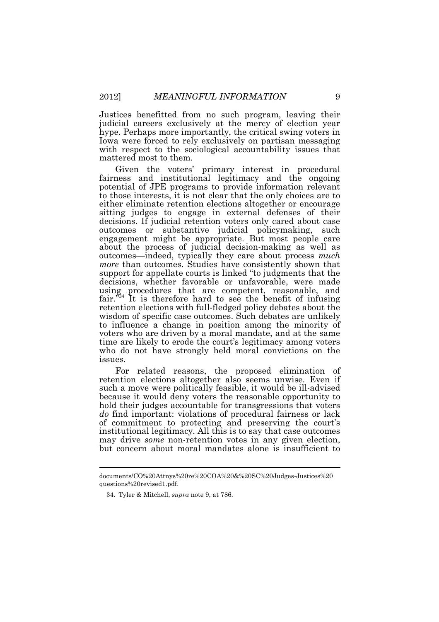Justices benefitted from no such program, leaving their Iowa were forced to rely exclusively on partisan messaging judicial careers exclusively at the mercy of election year hype. Perhaps more importantly, the critical swing voters in with respect to the sociological accountability issues that mattered most to them.

 Given the voters' primary interest in procedural fairness and institutional legitimacy and the ongoing potential of JPE programs to provide information relevant sitting judges to engage in external defenses of their outcomes or substantive judicial policymaking, such engagement might be appropriate. But most people care more than outcomes. Studies have consistently shown that wisdom of specific case outcomes. Such debates are unlikely time are likely to erode the court's legitimacy among voters who do not have strongly held moral convictions on the to those interests, it is not clear that the only choices are to either eliminate retention elections altogether or encourage decisions. If judicial retention voters only cared about case about the process of judicial decision-making as well as outcomes—indeed, typically they care about process much support for appellate courts is linked "to judgments that the decisions, whether favorable or unfavorable, were made using procedures that are competent, reasonable, and fair.<sup>334</sup> It is therefore hard to see the benefit of infusing retention elections with full-fledged policy debates about the to influence a change in position among the minority of voters who are driven by a moral mandate, and at the same issues.

 For related reasons, the proposed elimination of because it would deny voters the reasonable opportunity to of commitment to protecting and preserving the court's but concern about moral mandates alone is insufficient to retention elections altogether also seems unwise. Even if such a move were politically feasible, it would be ill-advised hold their judges accountable for transgressions that voters do find important: violations of procedural fairness or lack institutional legitimacy. All this is to say that case outcomes may drive some non-retention votes in any given election,

 $\overline{a}$ 

 questions%20revised1.pdf. documents/CO%20Attnys%20re%20COA%20&%20SC%20Judges-Justices%20

<sup>34.</sup> Tyler & Mitchell, supra note 9, at 786.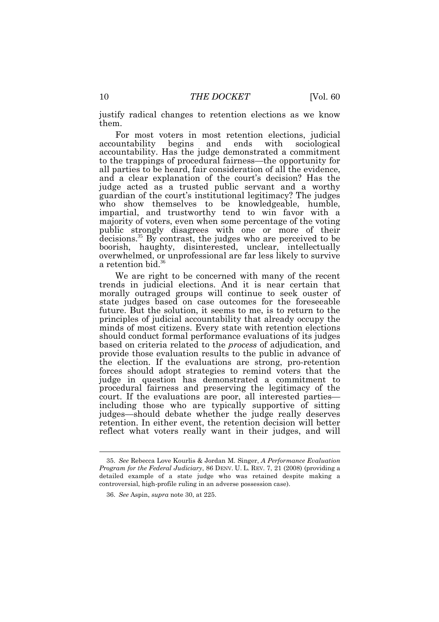justify radical changes to retention elections as we know

 them. For most voters in most retention elections, judicial accountability. Has the judge demonstrated a commitment to the trappings of procedural fairness—the opportunity for judge acted as a trusted public servant and a worthy impartial, and trustworthy tend to win favor with a [decisions.](https://decisions.35)<sup>35</sup> By contrast, the judges who are perceived to be a retention bid.<sup>36</sup> accountability begins and ends with sociological all parties to be heard, fair consideration of all the evidence, and a clear explanation of the court's decision? Has the guardian of the court's institutional legitimacy? The judges who show themselves to be knowledgeable, humble, majority of voters, even when some percentage of the voting public strongly disagrees with one or more of their boorish, haughty, disinterested, unclear, intellectually overwhelmed, or unprofessional are far less likely to survive

 We are right to be concerned with many of the recent trends in judicial elections. And it is near certain that morally outraged groups will continue to seek ouster of future. But the solution, it seems to me, is to return to the principles of judicial accountability that already occupy the should conduct formal performance evaluations of its judges based on criteria related to the *process* of adjudication, and forces should adopt strategies to remind voters that the judge in question has demonstrated a commitment to court. If the evaluations are poor, all interested parties— retention. In either event, the retention decision will better state judges based on case outcomes for the foreseeable minds of most citizens. Every state with retention elections provide those evaluation results to the public in advance of the election. If the evaluations are strong, pro-retention procedural fairness and preserving the legitimacy of the including those who are typically supportive of sitting judges—should debate whether the judge really deserves reflect what voters really want in their judges, and will

 $\overline{a}$ 

 35. See Rebecca Love Kourlis & Jordan M. Singer, A Performance Evaluation Program for the Federal Judiciary, 86 DENV. U. L. REV. 7, 21 (2008) (providing a detailed example of a state judge who was retained despite making a controversial, high-profile ruling in an adverse possession case).

 36. See Aspin, supra note 30, at 225.